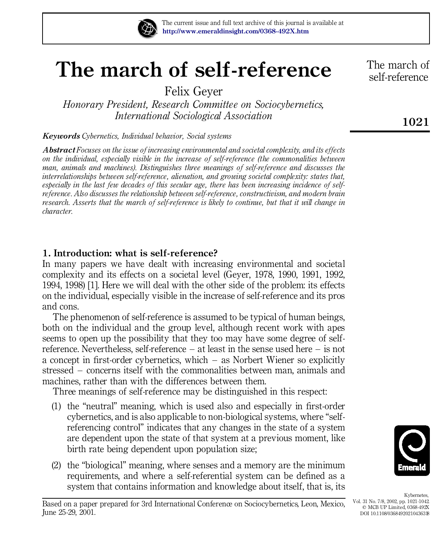

The current issue and full text archive of this journal is available at **<http://www.emeraldinsight.com/0368-492X.htm>**

# **The march of self-reference**

Felix Geyer

*Honorary President, Research Committee on Sociocybernetics, International Sociological Association*

*Keywords Cybernetics, Individual behavior, Social systems*

*Abstract Focuses on the issue of increasing environmental and societal complexity, and its effects on the individual, especially visible in the increase of self-reference (the commonalities between man, animals and machines). Distinguishes three meanings of self-reference and discusses the interrelationships between self-reference, alienation, and growing societal complexity: states that, especially in the last few decades of this secular age, there has been increasing incidence of self reference. Also discusses the relationship between self-reference, constructivism, and modern brain research. Asserts that the march of self-reference is likely to continue, but that it will change in character.*

# **1. Introduction: what is self-reference?**

In many papers we have dealt with increasing environmental and societal complexity and its effects on a societal level (Geyer, 1978, 1990, 1991, 1992, 1994, 1998) [1]. Here we will deal with the other side of the problem: its effects on the individual, especially visible in the increase of self-reference and its pros and cons.

The phenomenon of self-reference is assumed to be typical of human beings, both on the individual and the group level, although recent work with apes seems to open up the possibility that they too may have some degree of self reference. Nevertheless, self-reference  $-\alpha t$  least in the sense used here  $-\alpha t$  is not a concept in first-order cybernetics, which  $-$  as Norbert Wiener so explicitly stressed – concerns itself with the commonalities between man, animals and machines, rather than with the differences between them.

Three meanings of self-reference may be distinguished in this respect:

- $(1)$  the "neutral" meaning, which is used also and especially in first-order cybernetics, and is also applicable to non-biological systems, where ªself referencing control" indicates that any changes in the state of a system are dependent upon the state of that system at a previous moment, like birth rate being dependent upon population size;
- (2) the ªbiologicalº meaning, where senses and a memory are the minimum requirements, and where a self-referential system can be defined as a system that contains information and knowledge about itself, that is, its

Based on a paper prepared for 3rd International Conference on Sociocybernetics, Leon, Mexico, June 25-29, 2001.

Kybernetes, Vol. 31 No. 7/8, 2002, pp. 1021-1042.  $© MCB UP Limited, 0368-492X$ DOI 10.1108/03684920210436318

The march of self-reference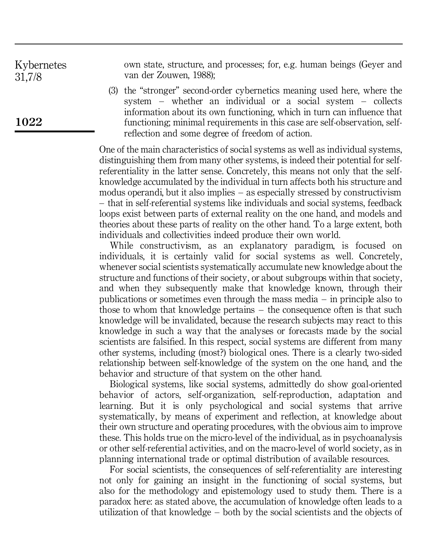| Kybernetes | 0 |
|------------|---|
| 31,7/8     |   |

**1022**

wn state, structure, and processes; for, e.g. human beings (Geyer and van der Zouwen, 1988);

(3) the ªstrongerº second-order cybernetics meaning used here, where the system  $-$  whether an individual or a social system  $-$  collects information about its own functioning, which in turn can influence that functioning; minimal requirements in this case are self-observation, self reflection and some degree of freedom of action.

One of the main characteristics of social systems as well as individual systems, distinguishing them from many other systems, is indeed their potential for self referentiality in the latter sense. Concretely, this means not only that the self knowledge accumulated by the individual in turn affects both his structure and modus operandi, but it also implies  $-\infty$  especially stressed by constructivism ± that in self-referential systems like individuals and social systems, feedback loops exist between parts of external reality on the one hand, and models and theories about these parts of reality on the other hand. To a large extent, both individuals and collectivities indeed produce their own world.

While constructivism, as an explanatory paradigm, is focused on individuals, it is certainly valid for social systems as well. Concretely, whenever social scientists systematically accumulate new knowledge about the structure and functions of their society, or about subgroups within that society, and when they subsequently make that knowledge known, through their publications or sometimes even through the mass media  $-\overline{}$  in principle also to those to whom that knowledge pertains  $-$  the consequence often is that such knowledge will be invalidated, because the research subjects may react to this knowledge in such a way that the analyses or forecasts made by the social scientists are falsified. In this respect, social systems are different from many other systems, including (most?) biological ones. There is a clearly two-sided relationship between self-knowledge of the system on the one hand, and the behavior and structure of that system on the other hand.

Biological systems, like social systems, admittedly do show goal-oriented behavior of actors, self-organization, self-reproduction, adaptation and learning. But it is only psychological and social systems that arrive systematically, by means of experiment and reflection, at knowledge about their own structure and operating procedures, with the obvious aim to improve these. This holds true on the micro-level of the individual, as in psychoanalysis or other self-referential activities, and on the macro-level of world society, as in planning international trade or optimal distribution of available resources.

For social scientists, the consequences of self-referentiality are interesting not only for gaining an insight in the functioning of social systems, but also for the methodology and epistemology used to study them. There is a paradox here: as stated above, the accumulation of knowledge often leads to a utilization of that knowledge  $-\overline{}$  both by the social scientists and the objects of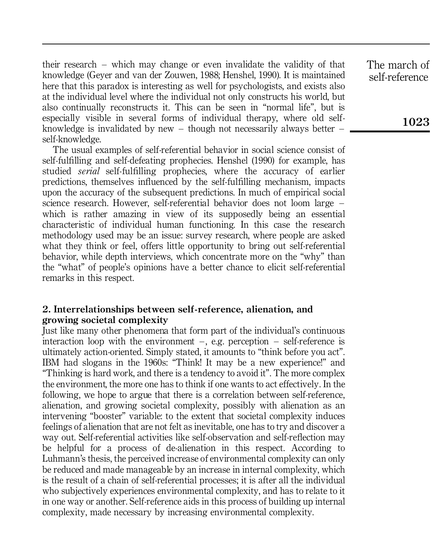their research  $-$  which may change or even invalidate the validity of that knowledge (Geyer and van der Zouwen, 1988; Henshel, 1990). It is maintained here that this paradox is interesting as well for psychologists, and exists also at the individual level where the individual not only constructs his world, but also continually reconstructs it. This can be seen in ªnormal lifeº, but is especially visible in several forms of individual therapy, where old self knowledge is invalidated by new  $-$  though not necessarily always better  $$ self-knowledge.

The usual examples of self-referential behavior in social science consist of self-fulfilling and self-defeating prophecies. Henshel (1990) for example, has studied *serial* self-fulfilling prophecies, where the accuracy of earlier predictions, themselves influenced by the self-fulfilling mechanism, impacts upon the accuracy of the subsequent predictions. In much of empirical social science research. However, self-referential behavior does not loom large  $$ which is rather amazing in view of its supposedly being an essential characteristic of individual human functioning. In this case the research methodology used may be an issue: survey research, where people are asked what they think or feel, offers little opportunity to bring out self-referential behavior, while depth interviews, which concentrate more on the "why" than the ªwhatº of people's opinions have a better chance to elicit self-referential remarks in this respect.

# **2. Interrelationships between self-reference, alienation, and growing societal complexity**

Just like many other phenomena that form part of the individual's continuous interaction loop with the environment  $-$ , e.g. perception  $-$  self-reference is ultimately action-oriented. Simply stated, it amounts to "think before you act". IBM had slogans in the 1960s: "Think! It may be a new experience!" and ªThinking is hard work, and there is a tendency to avoid itº. The more complex the environment, the more one has to think if one wants to act effectively. In the following, we hope to argue that there is a correlation between self-reference, alienation, and growing societal complexity, possibly with alienation as an intervening ªboosterº variable: to the extent that societal complexity induces feelings of alienation that are not felt as inevitable, one has to try and discover a way out. Self-referential activities like self-observation and self-reflection may be helpful for a process of de-alienation in this respect. According to Luhmann's thesis, the perceived increase of environmental complexity can only be reduced and made manageable by an increase in internal complexity, which is the result of a chain of self-referential processes; it is after all the individual who subjectively experiences environmental complexity, and has to relate to it in one way or another. Self-reference aids in this process of building up internal complexity, made necessary by increasing environmental complexity.

The march of self-reference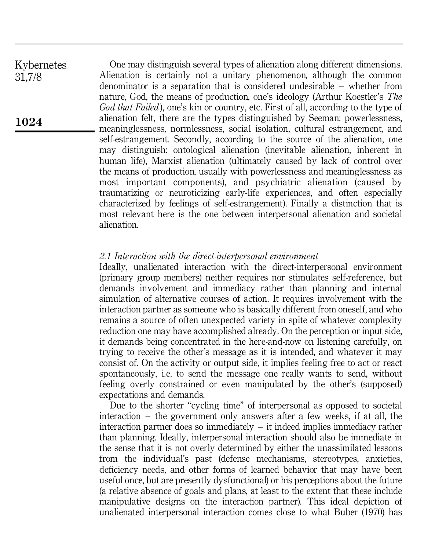One may distinguish several types of alienation along different dimensions. Alienation is certainly not a unitary phenomenon, although the common denominator is a separation that is considered undesirable  $-\theta$  whether from nature, God, the means of production, one's ideology (Arthur Koestler's *The God that Failed* ), one's kin or country, etc. First of all, according to the type of alienation felt, there are the types distinguished by Seeman: powerlessness, meaninglessness, normlessness, social isolation, cultural estrangement, and self-estrangement. Secondly, according to the source of the alienation, one may distinguish: ontological alienation (inevitable alienation, inherent in human life), Marxist alienation (ultimately caused by lack of control over the means of production, usually with powerlessness and meaninglessness as most important components), and psychiatric alienation (caused by traumatizing or neuroticizing early-life experiences, and often especially characterized by feelings of self-estrangement). Finally a distinction that is most relevant here is the one between interpersonal alienation and societal alienation.

## *2.1 Interaction with the direct-interpersonal environment*

Ideally, unalienated interaction with the direct-interpersonal environment (primary group members) neither requires nor stimulates self-reference, but demands involvement and immediacy rather than planning and internal simulation of alternative courses of action. It requires involvement with the interaction partner as someone who is basically different from oneself, and who remains a source of often unexpected variety in spite of whatever complexity reduction one may have accomplished already. On the perception or input side, it demands being concentrated in the here-and-now on listening carefully, on trying to receive the other's message as it is intended, and whatever it may consist of. On the activity or output side, it implies feeling free to act or react spontaneously, i.e. to send the message one really wants to send, without feeling overly constrained or even manipulated by the other's (supposed) expectations and demands.

Due to the shorter "cycling time" of interpersonal as opposed to societal interaction  $-$  the government only answers after a few weeks, if at all, the interaction partner does so immediately  $-$  it indeed implies immediacy rather than planning. Ideally, interpersonal interaction should also be immediate in the sense that it is not overly determined by either the unassimilated lessons from the individual's past (defense mechanisms, stereotypes, anxieties, deficiency needs, and other forms of learned behavior that may have been useful once, but are presently dysfunctional) or his perceptions about the future (a relative absence of goals and plans, at least to the extent that these include manipulative designs on the interaction partner). This ideal depiction of unalienated interpersonal interaction comes close to what Buber (1970) has

**1024**

Kybernetes 31,7/8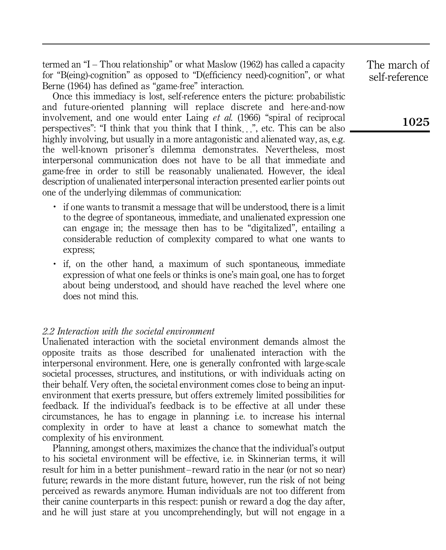termed an "I  $-$  Thou relationship" or what Maslow (1962) has called a capacity for "B(eing)-cognition" as opposed to "D(efficiency need)-cognition", or what Berne (1964) has defined as "game-free" interaction.

Once this immediacy is lost, self-reference enters the picture: probabilistic and future-oriented planning will replace discrete and here-and-now involvement, and one would enter Laing *et al.* (1966) ªspiral of reciprocal perspectives": "I think that you think that I think...", etc. This can be also highly involving, but usually in a more antagonistic and alienated way, as, e.g. the well-known prisoner's dilemma demonstrates. Nevertheless, most interpersonal communication does not have to be all that immediate and game-free in order to still be reasonably unalienated. However, the ideal description of unalienated interpersonal interaction presented earlier points out one of the underlying dilemmas of communication:

- . if one wants to transmit a message that will be understood, there is a limit to the degree of spontaneous, immediate, and unalienated expression one can engage in; the message then has to be ªdigitalizedº, entailing a considerable reduction of complexity compared to what one wants to express;
- . if, on the other hand, a maximum of such spontaneous, immediate expression of what one feels or thinks is one's main goal, one has to forget about being understood, and should have reached the level where one does not mind this.

# *2.2 Interaction with the societal environment*

Unalienated interaction with the societal environment demands almost the opposite traits as those described for unalienated interaction with the interpersonal environment. Here, one is generally confronted with large-scale societal processes, structures, and institutions, or with individuals acting on their behalf. Very often, the societal environment comes close to being an input environment that exerts pressure, but offers extremely limited possibilities for feedback. If the individual's feedback is to be effective at all under these circumstances, he has to engage in planning: i.e. to increase his internal complexity in order to have at least a chance to somewhat match the complexity of his environment.

Planning, amongst others, maximizes the chance that the individual's output to his societal environment will be effective, i.e. in Skinnerian terms, it will result for him in a better punishment-reward ratio in the near (or not so near) future; rewards in the more distant future, however, run the risk of not being perceived as rewards anymore. Human individuals are not too different from their canine counterparts in this respect: punish or reward a dog the day after, and he will just stare at you uncomprehendingly, but will not engage in a

The march of self-reference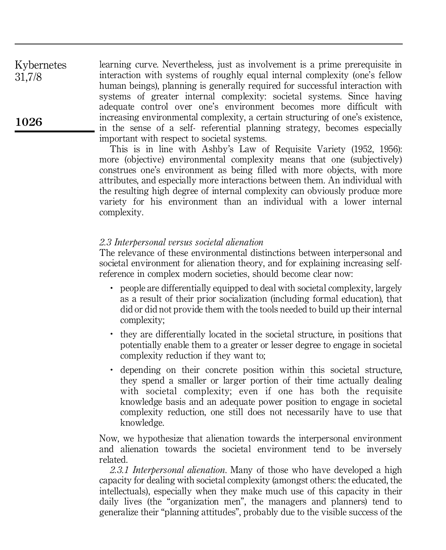learning curve. Nevertheless, just as involvement is a prime prerequisite in interaction with systems of roughly equal internal complexity (one's fellow human beings), planning is generally required for successful interaction with systems of greater internal complexity: societal systems. Since having adequate control over one's environment becomes more difficult with increasing environmental complexity, a certain structuring of one's existence, in the sense of a self- referential planning strategy, becomes especially important with respect to societal systems. Kybernetes 31,7/8

This is in line with Ashby's Law of Requisite Variety (1952, 1956): more (objective) environmental complexity means that one (subjectively) construes one's environment as being filled with more objects, with more attributes, and especially more interactions between them. An individual with the resulting high degree of internal complexity can obviously produce more variety for his environment than an individual with a lower internal complexity.

## *2.3 Interpersonal versus societal alienation*

The relevance of these environmental distinctions between interpersonal and societal environment for alienation theory, and for explaining increasing self reference in complex modern societies, should become clear now:

- . people are differentially equipped to deal with societal complexity, largely as a result of their prior socialization (including formal education), that did or did not provide them with the tools needed to build up their internal complexity;
- . they are differentially located in the societal structure, in positions that potentially enable them to a greater or lesser degree to engage in societal complexity reduction if they want to;
- . depending on their concrete position within this societal structure, they spend a smaller or larger portion of their time actually dealing with societal complexity; even if one has both the requisite knowledge basis and an adequate power position to engage in societal complexity reduction, one still does not necessarily have to use that knowledge.

Now, we hypothesize that alienation towards the interpersonal environment and alienation towards the societal environment tend to be inversely related.

*2.3.1 Interpersonal alienation*. Many of those who have developed a high capacity for dealing with societal complexity (amongst others: the educated, the intellectuals), especially when they make much use of this capacity in their daily lives (the "organization men", the managers and planners) tend to generalize their ªplanning attitudesº, probably due to the visible success of the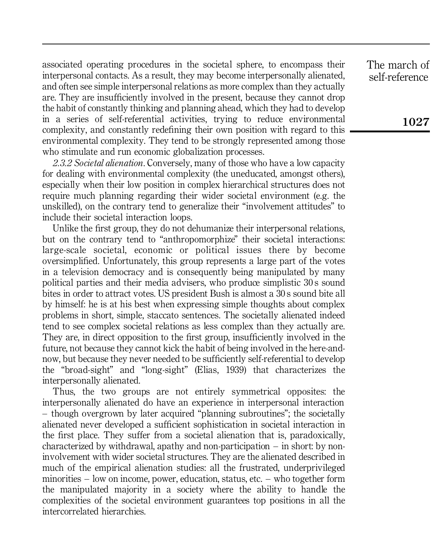associated operating procedures in the societal sphere, to encompass their interpersonal contacts. As a result, they may become interpersonally alienated, and often see simple interpersonal relations as more complex than they actually are. They are insufficiently involved in the present, because they cannot drop the habit of constantly thinking and planning ahead, which they had to develop in a series of self-referential activities, trying to reduce environmental complexity, and constantly redefining their own position with regard to this environmental complexity. They tend to be strongly represented among those who stimulate and run economic globalization processes.

*2.3.2 Societal alienation*. Conversely, many of those who have a low capacity for dealing with environmental complexity (the uneducated, amongst others), especially when their low position in complex hierarchical structures does not require much planning regarding their wider societal environment (e.g. the unskilled), on the contrary tend to generalize their ªinvolvement attitudesº to include their societal interaction loops.

Unlike the first group, they do not dehumanize their interpersonal relations, but on the contrary tend to "anthropomorphize" their societal interactions: large-scale societal, economic or political issues there by become oversimplified. Unfortunately, this group represents a large part of the votes in a television democracy and is consequently being manipulated by many political parties and their media advisers, who produce simplistic 30 s sound bites in order to attract votes. US president Bush is almost a 30 s sound bite all by himself: he is at his best when expressing simple thoughts about complex problems in short, simple, staccato sentences. The societally alienated indeed tend to see complex societal relations as less complex than they actually are. They are, in direct opposition to the first group, insufficiently involved in the future, not because they cannot kick the habit of being involved in the here-and now, but because they never needed to be sufficiently self-referential to develop the ªbroad-sightº and ªlong-sightº (Elias, 1939) that characterizes the interpersonally alienated.

Thus, the two groups are not entirely symmetrical opposites: the interpersonally alienated do have an experience in interpersonal interaction  $-$  though overgrown by later acquired "planning subroutines"; the societally alienated never developed a sufficient sophistication in societal interaction in the first place. They suffer from a societal alienation that is, paradoxically, characterized by withdrawal, apathy and non-participation  $-\text{ in short:}$  by noninvolvement with wider societal structures. They are the alienated described in much of the empirical alienation studies: all the frustrated, underprivileged minorities  $-\text{ low on income}$ , power, education, status, etc.  $-\text{ who together form}$ the manipulated majority in a society where the ability to handle the complexities of the societal environment guarantees top positions in all the intercorrelated hierarchies.

The march of self-reference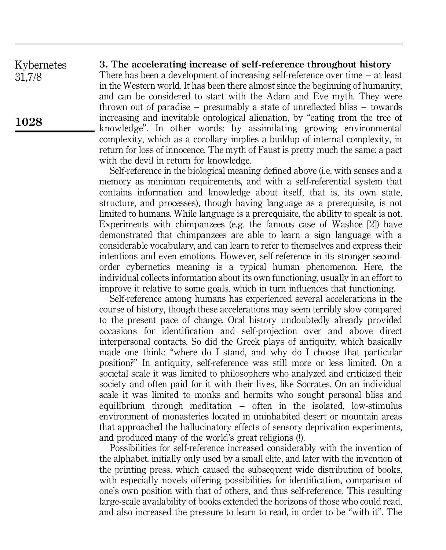# **3. The accelerating increase of self-reference throughout history**

There has been a development of increasing self-reference over time  $-$  at least in the Western world. It has been there almost since the beginning of humanity, and can be considered to start with the Adam and Eve myth. They were thrown out of paradise  $-$  presumably a state of unreflected bliss  $-$  towards increasing and inevitable ontological alienation, by ªeating from the tree of knowledgeº. In other words: by assimilating growing environmental complexity, which as a corollary implies a buildup of internal complexity, in return for loss of innocence. The myth of Faust is pretty much the same: a pact with the devil in return for knowledge.

Self-reference in the biological meaning defined above (i.e. with senses and a memory as minimum requirements, and with a self-referential system that contains information and knowledge about itself, that is, its own state, structure, and processes), though having language as a prerequisite, is not limited to humans. While language is a prerequisite, the ability to speak is not. Experiments with chimpanzees (e.g. the famous case of Washoe [2]) have demonstrated that chimpanzees are able to learn a sign language with a considerable vocabulary, and can learn to refer to themselves and express their intentions and even emotions. However, self-reference in its stronger second order cybernetics meaning is a typical human phenomenon. Here, the individual collects information about its own functioning, usually in an effort to improve it relative to some goals, which in turn influences that functioning.

Self-reference among humans has experienced several accelerations in the course of history, though these accelerations may seem terribly slow compared to the present pace of change. Oral history undoubtedly already provided occasions for identification and self-projection over and above direct interpersonal contacts. So did the Greek plays of antiquity, which basically made one think: "where do I stand, and why do I choose that particular position?º In antiquity, self-reference was still more or less limited. On a societal scale it was limited to philosophers who analyzed and criticized their society and often paid for it with their lives, like Socrates. On an individual scale it was limited to monks and hermits who sought personal bliss and equilibrium through meditation  $-$  often in the isolated, low-stimulus environment of monasteries located in uninhabited desert or mountain areas that approached the hallucinatory effects of sensory deprivation experiments, and produced many of the world's great religions (!).

Possibilities for self-reference increased considerably with the invention of the alphabet, initially only used by a small elite, and later with the invention of the printing press, which caused the subsequent wide distribution of books, with especially novels offering possibilities for identification, comparison of one's own position with that of others, and thus self-reference. This resulting large-scale availability of books extended the horizons of those who could read, and also increased the pressure to learn to read, in order to be ªwith itº. The

Kybernetes 31,7/8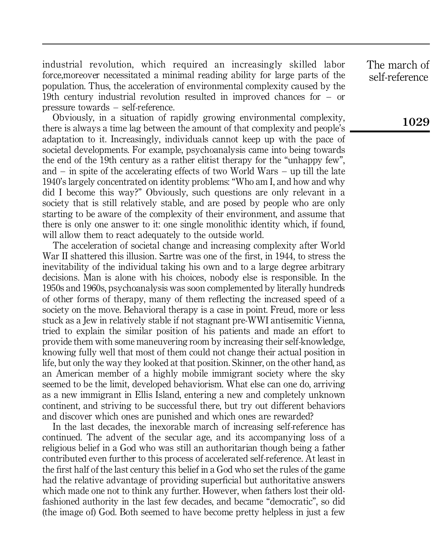industrial revolution, which required an increasingly skilled labor force,moreover necessitated a minimal reading ability for large parts of the population. Thus, the acceleration of environmental complexity caused by the 19th century industrial revolution resulted in improved chances for  $-$  or pressure towards  $-$  self-reference.

Obviously, in a situation of rapidly growing environmental complexity, there is always a time lag between the amount of that complexity and people's adaptation to it. Increasingly, individuals cannot keep up with the pace of societal developments. For example, psychoanalysis came into being towards the end of the 19th century as a rather elitist therapy for the "unhappy few". and  $-$  in spite of the accelerating effects of two World Wars  $-$  up till the late 1940's largely concentrated on identity problems: ªWho am I, and how and why did I become this way?º Obviously, such questions are only relevant in a society that is still relatively stable, and are posed by people who are only starting to be aware of the complexity of their environment, and assume that there is only one answer to it: one single monolithic identity which, if found, will allow them to react adequately to the outside world.

The acceleration of societal change and increasing complexity after World War II shattered this illusion. Sartre was one of the first, in 1944, to stress the inevitability of the individual taking his own and to a large degree arbitrary decisions. Man is alone with his choices, nobody else is responsible. In the 1950s and 1960s, psychoanalysis was soon complemented by literally hundreds of other forms of therapy, many of them reflecting the increased speed of a society on the move. Behavioral therapy is a case in point. Freud, more or less stuck as a Jew in relatively stable if not stagnant pre-WWI antisemitic Vienna, tried to explain the similar position of his patients and made an effort to provide them with some maneuvering room by increasing their self-knowledge, knowing fully well that most of them could not change their actual position in life, but only the way they looked at that position. Skinner, on the other hand, as an American member of a highly mobile immigrant society where the sky seemed to be the limit, developed behaviorism. What else can one do, arriving as a new immigrant in Ellis Island, entering a new and completely unknown continent, and striving to be successful there, but try out different behaviors and discover which ones are punished and which ones are rewarded?

In the last decades, the inexorable march of increasing self-reference has continued. The advent of the secular age, and its accompanying loss of a religious belief in a God who was still an authoritarian though being a father contributed even further to this process of accelerated self-reference. At least in the first half of the last century this belief in a God who set the rules of the game had the relative advantage of providing superficial but authoritative answers which made one not to think any further. However, when fathers lost their oldfashioned authority in the last few decades, and became ªdemocraticº, so did (the image of) God. Both seemed to have become pretty helpless in just a few The march of self-reference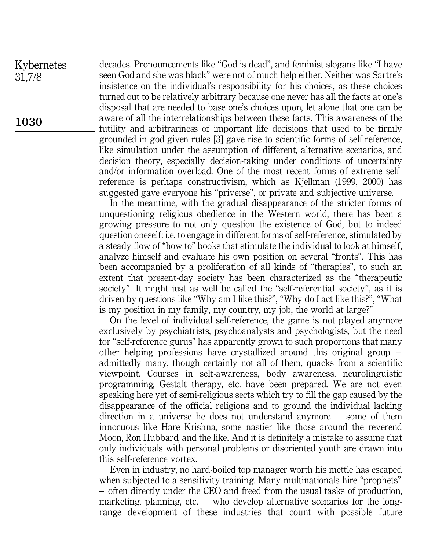decades. Pronouncements like ªGod is deadº, and feminist slogans like ªI have seen God and she was black" were not of much help either. Neither was Sartre's insistence on the individual's responsibility for his choices, as these choices turned out to be relatively arbitrary because one never has all the facts at one's disposal that are needed to base one's choices upon, let alone that one can be aware of all the interrelationships between these facts. This awareness of the futility and arbitrariness of important life decisions that used to be firmly grounded in god-given rules [3] gave rise to scientific forms of self-reference, like simulation under the assumption of different, alternative scenarios, and decision theory, especially decision-taking under conditions of uncertainty and/or information overload. One of the most recent forms of extreme self reference is perhaps constructivism, which as Kjellman (1999, 2000) has suggested gave everyone his ªpriverseº, or private and subjective universe.

In the meantime, with the gradual disappearance of the stricter forms of unquestioning religious obedience in the Western world, there has been a growing pressure to not only question the existence of God, but to indeed question oneself: i.e. to engage in different forms of self-reference, stimulated by a steady flow of "how to" books that stimulate the individual to look at himself. analyze himself and evaluate his own position on several ªfrontsº. This has been accompanied by a proliferation of all kinds of "therapies", to such an extent that present-day society has been characterized as the "therapeutic society". It might just as well be called the "self-referential society", as it is driven by questions like "Why am I like this?", "Why do I act like this?", "What is my position in my family, my country, my job, the world at large?"

On the level of individual self-reference, the game is not played anymore exclusively by psychiatrists, psychoanalysts and psychologists, but the need for ªself-reference gurusº has apparently grown to such proportions that many other helping professions have crystallized around this original group  $$ admittedly many, though certainly not all of them, quacks from a scientific viewpoint. Courses in self-awareness, body awareness, neurolinguistic programming, Gestalt therapy, etc. have been prepared. We are not even speaking here yet of semi-religious sects which try to fill the gap caused by the disappearance of the official religions and to ground the individual lacking direction in a universe he does not understand anymore  $-$  some of them innocuous like Hare Krishna, some nastier like those around the reverend Moon, Ron Hubbard, and the like. And it is definitely a mistake to assume that only individuals with personal problems or disoriented youth are drawn into this self-reference vortex.

Even in industry, no hard-boiled top manager worth his mettle has escaped when subjected to a sensitivity training. Many multinationals hire "prophets" ± often directly under the CEO and freed from the usual tasks of production, marketing, planning, etc.  $-\psi$  who develop alternative scenarios for the longrange development of these industries that count with possible future

**1030**

Kybernetes 31,7/8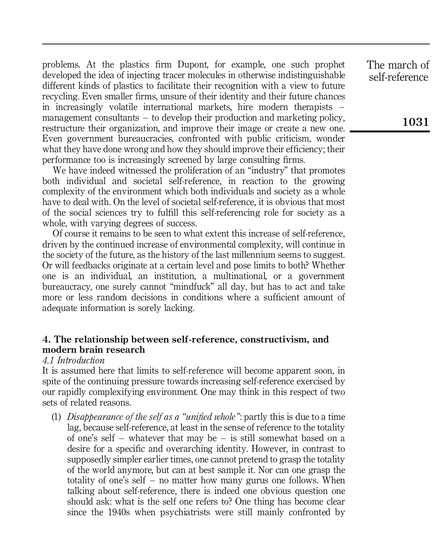problems. At the plastics firm Dupont, for example, one such prophet developed the idea of injecting tracer molecules in otherwise indistinguishable different kinds of plastics to facilitate their recognition with a view to future recycling. Even smaller firms, unsure of their identity and their future chances in increasingly volatile international markets, hire modern therapists  $$ management consultants  $-$  to develop their production and marketing policy, restructure their organization, and improve their image or create a new one. Even government bureaucracies, confronted with public criticism, wonder what they have done wrong and how they should improve their efficiency; their performance too is increasingly screened by large consulting firms.

We have indeed witnessed the proliferation of an "industry" that promotes both individual and societal self-reference, in reaction to the growing complexity of the environment which both individuals and society as a whole have to deal with. On the level of societal self-reference, it is obvious that most of the social sciences try to fulfill this self-referencing role for society as a whole, with varying degrees of success.

Of course it remains to be seen to what extent this increase of self-reference, driven by the continued increase of environmental complexity, will continue in the society of the future, as the history of the last millennium seems to suggest. Or will feedbacks originate at a certain level and pose limits to both? Whether one is an individual, an institution, a multinational, or a government bureaucracy, one surely cannot "mindfuck" all day, but has to act and take more or less random decisions in conditions where a sufficient amount of adequate information is sorely lacking.

# **4. The relationship between self-reference, constructivism, and modern brain research**

#### *4.1 Introduction*

It is assumed here that limits to self-reference will become apparent soon, in spite of the continuing pressure towards increasing self-reference exercised by our rapidly complexifying environment. One may think in this respect of two sets of related reasons.

(1) *Disappearance of the self as a ªuni®ed wholeº*: partly this is due to a time lag, because self-reference, at least in the sense of reference to the totality of one's self  $-$  whatever that may be  $-$  is still somewhat based on a desire for a specific and overarching identity. However, in contrast to supposedly simpler earlier times, one cannot pretend to grasp the totality of the world anymore, but can at best sample it. Nor can one grasp the totality of one's self  $-$  no matter how many gurus one follows. When talking about self-reference, there is indeed one obvious question one should ask: what is the self one refers to? One thing has become clear since the 1940s when psychiatrists were still mainly confronted by The march of self-reference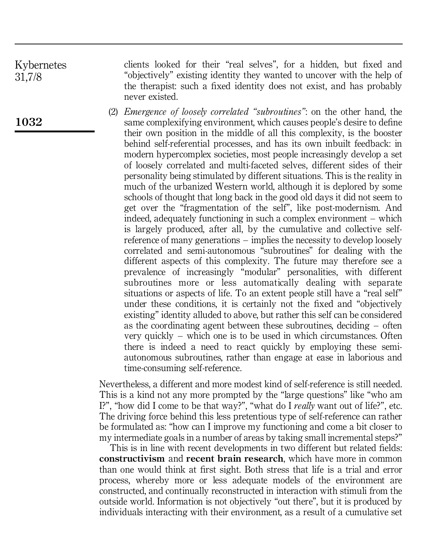Kybernetes 31,7/8

clients looked for their "real selves", for a hidden, but fixed and ªobjectivelyº existing identity they wanted to uncover with the help of the therapist: such a fixed identity does not exist, and has probably never existed.

(2) *Emergence of loosely correlated ªsubroutinesº*: on the other hand, the same complexifying environment, which causes people's desire to define their own position in the middle of all this complexity, is the booster behind self-referential processes, and has its own inbuilt feedback: in modern hypercomplex societies, most people increasingly develop a set of loosely correlated and multi-faceted selves, different sides of their personality being stimulated by different situations. This is the reality in much of the urbanized Western world, although it is deplored by some schools of thought that long back in the good old days it did not seem to get over the ªfragmentation of the selfº, like post-modernism. And indeed, adequately functioning in such a complex environment  $-\text{ which}$ is largely produced, after all, by the cumulative and collective self reference of many generations  $-\overline{\ }$  implies the necessity to develop loosely correlated and semi-autonomous "subroutines" for dealing with the different aspects of this complexity. The future may therefore see a prevalence of increasingly "modular" personalities, with different subroutines more or less automatically dealing with separate situations or aspects of life. To an extent people still have a "real self" under these conditions, it is certainly not the fixed and "objectively existingº identity alluded to above, but rather this self can be considered as the coordinating agent between these subroutines, deciding  $-\theta$  often very quickly  $-$  which one is to be used in which circumstances. Often there is indeed a need to react quickly by employing these semi autonomous subroutines, rather than engage at ease in laborious and time-consuming self-reference.

Nevertheless, a different and more modest kind of self-reference is still needed. This is a kind not any more prompted by the "large questions" like "who am I?", "how did I come to be that way?", "what do I *really* want out of life?", etc. The driving force behind this less pretentious type of self-reference can rather be formulated as: ªhow can I improve my functioning and come a bit closer to my intermediate goals in a number of areas by taking small incremental steps?"

This is in line with recent developments in two different but related fields: **constructivism** and **recent brain research**, which have more in common than one would think at first sight. Both stress that life is a trial and error process, whereby more or less adequate models of the environment are constructed, and continually reconstructed in interaction with stimuli from the outside world. Information is not objectively ªout thereº, but it is produced by individuals interacting with their environment, as a result of a cumulative set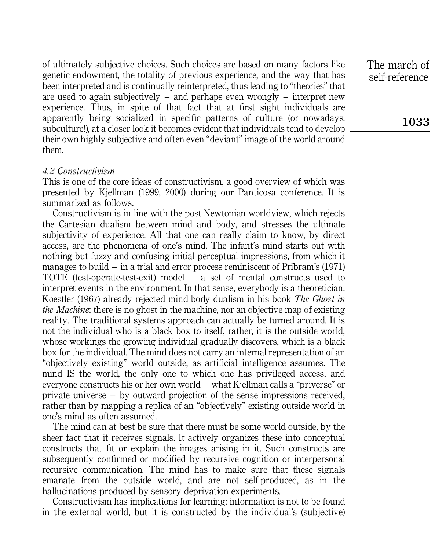of ultimately subjective choices. Such choices are based on many factors like genetic endowment, the totality of previous experience, and the way that has been interpreted and is continually reinterpreted, thus leading to "theories" that are used to again subjectively  $-$  and perhaps even wrongly  $-$  interpret new experience. Thus, in spite of that fact that at first sight individuals are apparently being socialized in specific patterns of culture (or nowadays: subculture!), at a closer look it becomes evident that individuals tend to develop their own highly subjective and often even ªdeviantº image of the world around them.

## *4.2 Constructivism*

This is one of the core ideas of constructivism, a good overview of which was presented by Kjellman (1999, 2000) during our Panticosa conference. It is summarized as follows.

Constructivism is in line with the post-Newtonian worldview, which rejects the Cartesian dualism between mind and body, and stresses the ultimate subjectivity of experience. All that one can really claim to know, by direct access, are the phenomena of one's mind. The infant's mind starts out with nothing but fuzzy and confusing initial perceptual impressions, from which it manages to build  $-\text{ in a trial}$  and error process reminiscent of Pribram's (1971) TOTE (test-operate-test-exit) model  $-$  a set of mental constructs used to interpret events in the environment. In that sense, everybody is a theoretician. Koestler (1967) already rejected mind-body dualism in his book *The Ghost in the Machine*: there is no ghost in the machine, nor an objective map of existing reality. The traditional systems approach can actually be turned around. It is not the individual who is a black box to itself, rather, it is the outside world, whose workings the growing individual gradually discovers, which is a black box for the individual. The mind does not carry an internal representation of an "objectively existing" world outside, as artificial intelligence assumes. The mind IS the world, the only one to which one has privileged access, and everyone constructs his or her own world – what Kjellman calls a "priverse" or private universe  $-\mathbf{b}v$  outward projection of the sense impressions received, rather than by mapping a replica of an "objectively" existing outside world in one's mind as often assumed.

The mind can at best be sure that there must be some world outside, by the sheer fact that it receives signals. It actively organizes these into conceptual constructs that fit or explain the images arising in it. Such constructs are subsequently confirmed or modified by recursive cognition or interpersonal recursive communication. The mind has to make sure that these signals emanate from the outside world, and are not self-produced, as in the hallucinations produced by sensory deprivation experiments.

Constructivism has implications for learning: information is not to be found in the external world, but it is constructed by the individual's (subjective) The march of self-reference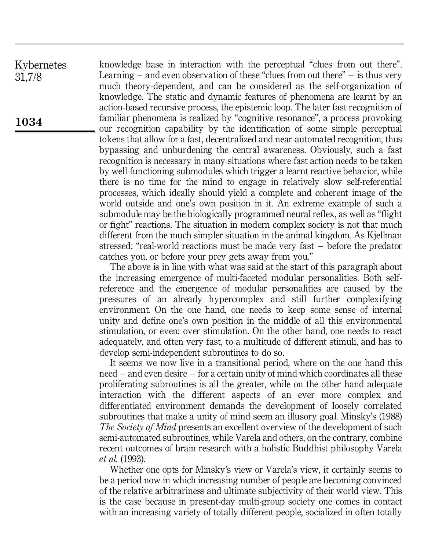knowledge base in interaction with the perceptual ªclues from out thereº. Learning  $-$  and even observation of these "clues from out there"  $-$  is thus very much theory-dependent, and can be considered as the self-organization of knowledge. The static and dynamic features of phenomena are learnt by an action-based recursive process, the epistemic loop. The later fast recognition of familiar phenomena is realized by "cognitive resonance", a process provoking our recognition capability by the identification of some simple perceptual tokens that allow for a fast, decentralized and near-automated recognition, thus bypassing and unburdening the central awareness. Obviously, such a fast recognition is necessary in many situations where fast action needs to be taken by well-functioning submodules which trigger a learnt reactive behavior, while there is no time for the mind to engage in relatively slow self-referential processes, which ideally should yield a complete and coherent image of the world outside and one's own position in it. An extreme example of such a submodule may be the biologically programmed neural reflex, as well as "flight" or fight" reactions. The situation in modern complex society is not that much different from the much simpler situation in the animal kingdom. As Kjellman stressed: "real-world reactions must be made very fast – before the predator catches you, or before your prey gets away from you." Kybernetes 31,7/8

> The above is in line with what was said at the start of this paragraph about the increasing emergence of multi-faceted modular personalities. Both self reference and the emergence of modular personalities are caused by the pressures of an already hypercomplex and still further complexifying environment. On the one hand, one needs to keep some sense of internal unity and define one's own position in the middle of all this environmental stimulation, or even: over stimulation. On the other hand, one needs to react adequately, and often very fast, to a multitude of different stimuli, and has to develop semi-independent subroutines to do so.

> It seems we now live in a transitional period, where on the one hand this  $need - and even desire - for a certain unity of mind which coordinates all these$ proliferating subroutines is all the greater, while on the other hand adequate interaction with the different aspects of an ever more complex and differentiated environment demands the development of loosely correlated subroutines that make a unity of mind seem an illusory goal. Minsky's (1988) *The Society of Mind* presents an excellent overview of the development of such semi-automated subroutines, while Varela and others, on the contrary, combine recent outcomes of brain research with a holistic Buddhist philosophy Varela *et al.* (1993).

> Whether one opts for Minsky's view or Varela's view, it certainly seems to be a period now in which increasing number of people are becoming convinced of the relative arbitrariness and ultimate subjectivity of their world view. This is the case because in present-day multi-group society one comes in contact with an increasing variety of totally different people, socialized in often totally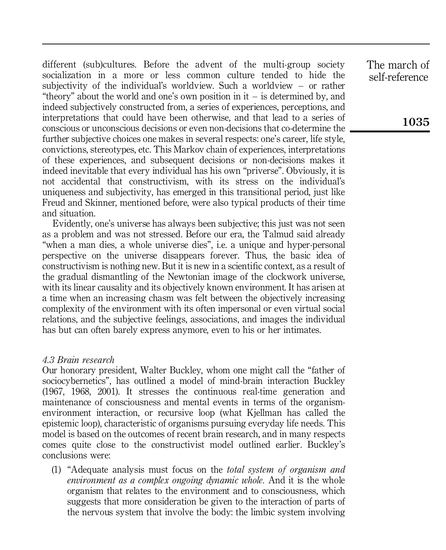different (sub)cultures. Before the advent of the multi-group society socialization in a more or less common culture tended to hide the subjectivity of the individual's worldview. Such a worldview  $-$  or rather "theory" about the world and one's own position in  $it - is determined by$ , and indeed subjectively constructed from, a series of experiences, perceptions, and interpretations that could have been otherwise, and that lead to a series of conscious or unconscious decisions or even non-decisions that co-determine the further subjective choices one makes in several respects: one's career, life style, convictions, stereotypes, etc. This Markov chain of experiences, interpretations of these experiences, and subsequent decisions or non-decisions makes it indeed inevitable that every individual has his own ªpriverseº. Obviously, it is not accidental that constructivism, with its stress on the individual's uniqueness and subjectivity, has emerged in this transitional period, just like Freud and Skinner, mentioned before, were also typical products of their time and situation.

Evidently, one's universe has always been subjective; this just was not seen as a problem and was not stressed. Before our era, the Talmud said already ªwhen a man dies, a whole universe diesº, i.e. a unique and hyper-personal perspective on the universe disappears forever. Thus, the basic idea of constructivism is nothing new. But it is new in a scientific context, as a result of the gradual dismantling of the Newtonian image of the clockwork universe, with its linear causality and its objectively known environment. It has arisen at a time when an increasing chasm was felt between the objectively increasing complexity of the environment with its often impersonal or even virtual social relations, and the subjective feelings, associations, and images the individual has but can often barely express anymore, even to his or her intimates.

## *4.3 Brain research*

Our honorary president, Walter Buckley, whom one might call the ªfather of sociocybernetics", has outlined a model of mind-brain interaction Buckley (1967, 1968, 2001). It stresses the continuous real-time generation and maintenance of consciousness and mental events in terms of the organism environment interaction, or recursive loop (what Kjellman has called the epistemic loop), characteristic of organisms pursuing everyday life needs. This model is based on the outcomes of recent brain research, and in many respects comes quite close to the constructivist model outlined earlier. Buckley's conclusions were:

(1) ªAdequate analysis must focus on the *total system of organism and environment as a complex ongoing dynamic whole.* And it is the whole organism that relates to the environment and to consciousness, which suggests that more consideration be given to the interaction of parts of the nervous system that involve the body: the limbic system involving

The march of self-reference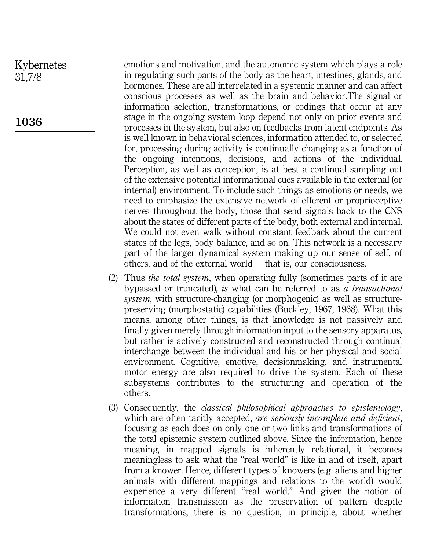Kybernetes 31,7/8

**1036**

emotions and motivation, and the autonomic system which plays a role in regulating such parts of the body as the heart, intestines, glands, and hormones. These are all interrelated in a systemic manner and can affect conscious processes as well as the brain and behavior.The signal or information selection, transformations, or codings that occur at any stage in the ongoing system loop depend not only on prior events and processes in the system, but also on feedbacks from latent endpoints. As is well known in behavioral sciences, information attended to, or selected for, processing during activity is continually changing as a function of the ongoing intentions, decisions, and actions of the individual. Perception, as well as conception, is at best a continual sampling out of the extensive potential informational cues available in the external (or internal) environment. To include such things as emotions or needs, we need to emphasize the extensive network of efferent or proprioceptive nerves throughout the body, those that send signals back to the CNS about the states of different parts of the body, both external and internal. We could not even walk without constant feedback about the current states of the legs, body balance, and so on. This network is a necessary part of the larger dynamical system making up our sense of self, of others, and of the external world  $-$  that is, our consciousness.

- (2) Thus *the total system*, when operating fully (sometimes parts of it are bypassed or truncated), *is* what can be referred to as *a transactional system*, with structure-changing (or morphogenic) as well as structure preserving (morphostatic) capabilities (Buckley, 1967, 1968). What this means, among other things, is that knowledge is not passively and finally given merely through information input to the sensory apparatus, but rather is actively constructed and reconstructed through continual interchange between the individual and his or her physical and social environment. Cognitive, emotive, decisionmaking, and instrumental motor energy are also required to drive the system. Each of these subsystems contributes to the structuring and operation of the others.
- (3) Consequently, the *classical philosophical approaches to epistemology*, which are often tacitly accepted, *are seriously incomplete and deficient*, focusing as each does on only one or two links and transformations of the total epistemic system outlined above. Since the information, hence meaning, in mapped signals is inherently relational, it becomes meaningless to ask what the ªreal worldº is like in and of itself, apart from a knower. Hence, different types of knowers (e.g. aliens and higher animals with different mappings and relations to the world) would experience a very different "real world." And given the notion of information transmission as the preservation of pattern despite transformations, there is no question, in principle, about whether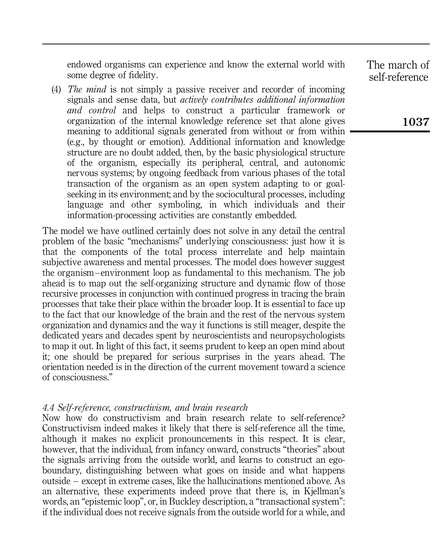endowed organisms can experience and know the external world with some degree of fidelity.

(4) *The mind* is not simply a passive receiver and recorder of incoming signals and sense data, but *actively contributes additional information and control* and helps to construct a particular framework or organization of the internal knowledge reference set that alone gives meaning to additional signals generated from without or from within (e.g., by thought or emotion). Additional information and knowledge structure are no doubt added, then, by the basic physiological structure of the organism, especially its peripheral, central, and autonomic nervous systems; by ongoing feedback from various phases of the total transaction of the organism as an open system adapting to or goal seeking in its environment; and by the sociocultural processes, including language and other symboling, in which individuals and their information-processing activities are constantly embedded.

The model we have outlined certainly does not solve in any detail the central problem of the basic "mechanisms" underlying consciousness: just how it is that the components of the total process interrelate and help maintain subjective awareness and mental processes. The model does however suggest the organism—environment loop as fundamental to this mechanism. The job ahead is to map out the self-organizing structure and dynamic flow of those recursive processes in conjunction with continued progress in tracing the brain processes that take their place within the broader loop. It is essential to face up to the fact that our knowledge of the brain and the rest of the nervous system organization and dynamics and the way it functions is still meager, despite the dedicated years and decades spent by neuroscientists and neuropsychologists to map it out. In light of this fact, it seems prudent to keep an open mind about it; one should be prepared for serious surprises in the years ahead. The orientation needed is in the direction of the current movement toward a science of consciousness.º

## *4.4 Self-reference, constructivism, and brain research*

Now how do constructivism and brain research relate to self-reference? Constructivism indeed makes it likely that there is self-reference all the time, although it makes no explicit pronouncements in this respect. It is clear, however, that the individual, from infancy onward, constructs "theories" about the signals arriving from the outside world, and learns to construct an ego boundary, distinguishing between what goes on inside and what happens outside  $-$  except in extreme cases, like the hallucinations mentioned above. As an alternative, these experiments indeed prove that there is, in Kjellman's words, an "epistemic loop", or, in Buckley description, a "transactional system": if the individual does not receive signals from the outside world for a while, and

The march of self-reference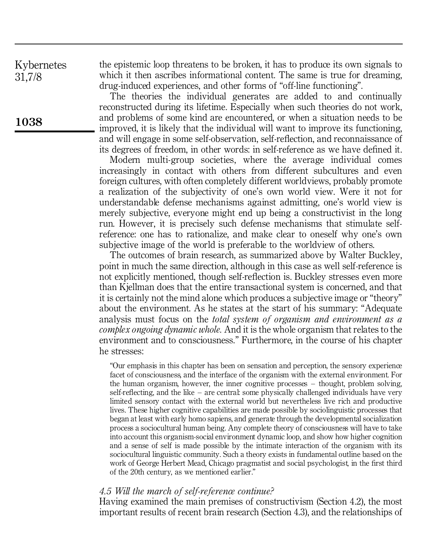Kybernetes 31,7/8

the epistemic loop threatens to be broken, it has to produce its own signals to which it then ascribes informational content. The same is true for dreaming, drug-induced experiences, and other forms of ªoff-line functioningº.

The theories the individual generates are added to and continually reconstructed during its lifetime. Especially when such theories do not work, and problems of some kind are encountered, or when a situation needs to be improved, it is likely that the individual will want to improve its functioning, and will engage in some self-observation, self-reflection, and reconnaissance of its degrees of freedom, in other words; in self-reference as we have defined it.

Modern multi-group societies, where the average individual comes increasingly in contact with others from different subcultures and even foreign cultures, with often completely different worldviews, probably promote a realization of the subjectivity of one's own world view. Were it not for understandable defense mechanisms against admitting, one's world view is merely subjective, everyone might end up being a constructivist in the long run. However, it is precisely such defense mechanisms that stimulate self reference: one has to rationalize, and make clear to oneself why one's own subjective image of the world is preferable to the worldview of others.

The outcomes of brain research, as summarized above by Walter Buckley, point in much the same direction, although in this case as well self-reference is not explicitly mentioned, though self-reflection is. Buckley stresses even more than Kjellman does that the entire transactional system is concerned, and that it is certainly not the mind alone which produces a subjective image or "theory" about the environment. As he states at the start of his summary: ªAdequate analysis must focus on the *total system of organism and environment as a complex ongoing dynamic whole.* And it is the whole organism that relates to the environment and to consciousness.º Furthermore, in the course of his chapter he stresses:

ªOur emphasis in this chapter has been on sensation and perception, the sensory experience facet of consciousness, and the interface of the organism with the external environment. For the human organism, however, the inner cognitive processes  $-$  thought, problem solving, self-reflecting, and the like  $-$  are central: some physically challenged individuals have very limited sensory contact with the external world but nevertheless live rich and productive lives. These higher cognitive capabilities are made possible by sociolinguistic processes that began at least with early homo sapiens, and generate through the developmental socialization process a sociocultural human being. Any complete theory of consciousness will have to take into account this organism-social environment dynamic loop, and show how higher cognition and a sense of self is made possible by the intimate interaction of the organism with its sociocultural linguistic community. Such a theory exists in fundamental outline based on the work of George Herbert Mead, Chicago pragmatist and social psychologist, in the first third of the 20th century, as we mentioned earlier."

### *4.5 Will the march of self-reference continue?*

Having examined the main premises of constructivism (Section 4.2), the most important results of recent brain research (Section 4.3), and the relationships of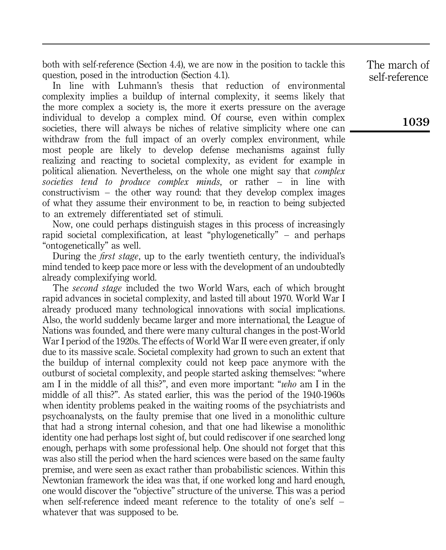both with self-reference (Section 4.4), we are now in the position to tackle this question, posed in the introduction (Section 4.1).

In line with Luhmann's thesis that reduction of environmental complexity implies a buildup of internal complexity, it seems likely that the more complex a society is, the more it exerts pressure on the average individual to develop a complex mind. Of course, even within complex societies, there will always be niches of relative simplicity where one can. withdraw from the full impact of an overly complex environment, while most people are likely to develop defense mechanisms against fully realizing and reacting to societal complexity, as evident for example in political alienation. Nevertheless, on the whole one might say that *complex societies tend to produce complex minds*, or rather – in line with  $\text{constructivism} - \text{the other way round: that they develop complex images}$ of what they assume their environment to be, in reaction to being subjected to an extremely differentiated set of stimuli.

Now, one could perhaps distinguish stages in this process of increasingly rapid societal complexification, at least "phylogenetically"  $-$  and perhaps ªontogeneticallyº as well.

During the *first stage*, up to the early twentieth century, the individual's mind tended to keep pace more or less with the development of an undoubtedly already complexifying world.

The *second stage* included the two World Wars, each of which brought rapid advances in societal complexity, and lasted till about 1970. World War I already produced many technological innovations with social implications. Also, the world suddenly became larger and more international, the League of Nations was founded, and there were many cultural changes in the post-World War I period of the 1920s. The effects of World War II were even greater, if only due to its massive scale. Societal complexity had grown to such an extent that the buildup of internal complexity could not keep pace anymore with the outburst of societal complexity, and people started asking themselves: ªwhere am I in the middle of all this?º, and even more important: ª*who* am I in the middle of all this?º. As stated earlier, this was the period of the 1940-1960s when identity problems peaked in the waiting rooms of the psychiatrists and psychoanalysts, on the faulty premise that one lived in a monolithic culture that had a strong internal cohesion, and that one had likewise a monolithic identity one had perhaps lost sight of, but could rediscover if one searched long enough, perhaps with some professional help. One should not forget that this was also still the period when the hard sciences were based on the same faulty premise, and were seen as exact rather than probabilistic sciences. Within this Newtonian framework the idea was that, if one worked long and hard enough, one would discover the ªobjectiveº structure of the universe. This was a period when self-reference indeed meant reference to the totality of one's self  $$ whatever that was supposed to be.

The march of self-reference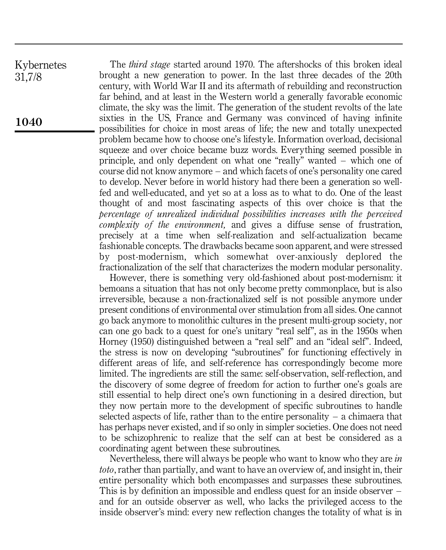Kybernetes 31,7/8

**1040**

The *third stage* started around 1970. The aftershocks of this broken ideal brought a new generation to power. In the last three decades of the 20th century, with World War II and its aftermath of rebuilding and reconstruction far behind, and at least in the Western world a generally favorable economic climate, the sky was the limit. The generation of the student revolts of the late sixties in the US, France and Germany was convinced of having infinite possibilities for choice in most areas of life; the new and totally unexpected problem became how to choose one's lifestyle. Information overload, decisional squeeze and over choice became buzz words. Everything seemed possible in principle, and only dependent on what one "really" wanted  $-$  which one of course did not know anymore – and which facets of one's personality one cared to develop. Never before in world history had there been a generation so wellfed and well-educated, and yet so at a loss as to what to do. One of the least thought of and most fascinating aspects of this over choice is that the *percentage of unrealized individual possibilities increases with the perceived complexity of the environment,* and gives a diffuse sense of frustration, precisely at a time when self-realization and self-actualization became fashionable concepts. The drawbacks became soon apparent, and were stressed by post-modernism, which somewhat over-anxiously deplored the fractionalization of the self that characterizes the modern modular personality.

However, there is something very old-fashioned about post-modernism: it bemoans a situation that has not only become pretty commonplace, but is also irreversible, because a non-fractionalized self is not possible anymore under present conditions of environmental over stimulation from all sides. One cannot go back anymore to monolithic cultures in the present multi-group society, nor can one go back to a quest for one's unitary ªreal selfº, as in the 1950s when Horney (1950) distinguished between a ªreal selfº and an ªideal selfº. Indeed, the stress is now on developing ªsubroutinesº for functioning effectively in different areas of life, and self-reference has correspondingly become more limited. The ingredients are still the same: self-observation, self-reflection, and the discovery of some degree of freedom for action to further one's goals are still essential to help direct one's own functioning in a desired direction, but they now pertain more to the development of specific subroutines to handle selected aspects of life, rather than to the entire personality  $-$  a chimaera that has perhaps never existed, and if so only in simpler societies. One does not need to be schizophrenic to realize that the self can at best be considered as a coordinating agent between these subroutines.

Nevertheless, there will always be people who want to know who they are *in toto*, rather than partially, and want to have an overview of, and insight in, their entire personality which both encompasses and surpasses these subroutines. This is by definition an impossible and endless quest for an inside observer  $$ and for an outside observer as well, who lacks the privileged access to the inside observer's mind: every new reflection changes the totality of what is in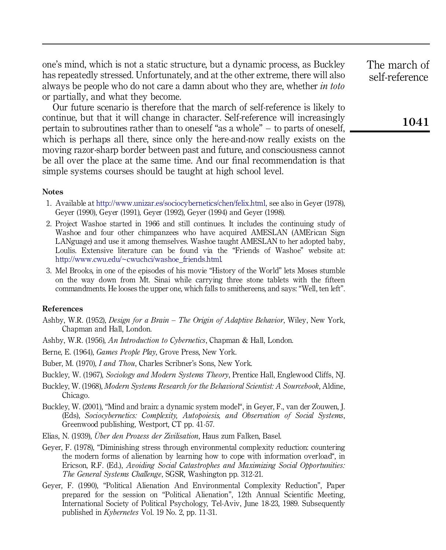one's mind, which is not a static structure, but a dynamic process, as Buckley has repeatedly stressed. Unfortunately, and at the other extreme, there will also always be people who do not care a damn about who they are, whether *in toto* or partially, and what they become.

Our future scenario is therefore that the march of self-reference is likely to continue, but that it will change in character. Self-reference will increasingly pertain to subroutines rather than to oneself "as a whole"  $-$  to parts of oneself. which is perhaps all there, since only the here-and-now really exists on the moving razor-sharp border between past and future, and consciousness cannot be all over the place at the same time. And our final recommendation is that simple systems courses should be taught at high school level.

#### **Notes**

- 1. Available at [http://www.unizar.es/sociocybernetics/chen/felix.html,](http://www.unizar.es/sociocybernetics/chen/felix.html) see also in Geyer (1978), Geyer (1990), Geyer (1991), Geyer (1992), Geyer (1994) and Geyer (1998).
- 2. Project Washoe started in 1966 and still continues. It includes the continuing study of Washoe and four other chimpanzees who have acquired AMESLAN (AMErican Sign LANguage) and use it among themselves. Washoe taught AMESLAN to her adopted baby, Loulis. Extensive literature can be found via the "Friends of Washoe" website at: [http://www.cwu.edu/~cwuchci/washoe\\_friends.html.](http://www.cwu.edu/%7Ecwuchci/washoe_friends.html)
- 3. Mel Brooks, in one of the episodes of his movie ªHistory of the Worldº lets Moses stumble on the way down from Mt. Sinai while carrying three stone tablets with the fifteen commandments. He looses the upper one, which falls to smithereens, and says: ªWell, ten leftº.

#### **References**

- Ashby, W.R. (1952), *Design for a Brain ± The Origin of Adaptive Behavior*, Wiley, New York, Chapman and Hall, London.
- Ashby, W.R. (1956), *An Introduction to Cybernetics*, Chapman & Hall, London.

Berne, E. (1964), *Games People Play*, Grove Press, New York.

- Buber, M. (1970), *I and Thou*, Charles Scribner's Sons, New York.
- Buckley, W. (1967), *Sociology and Modern Systems Theory*, Prentice Hall, Englewood Cliffs, NJ.
- Buckley, W. (1968), *Modern Systems Research for the Behavioral Scientist: A Sourcebook*, Aldine, Chicago.
- Buckley, W. (2001), ªMind and brain: a dynamic system modelª, in Geyer, F., van der Zouwen, J. (Eds), *Sociocybernetics: Complexity, Autopoiesis, and Observation of Social Systems*, Greenwood publishing, Westport, CT pp. 41-57.
- Elias, N. (1939), *UÈ ber den Prozess der Zivilisation*, Haus zum Falken, Basel.
- Geyer, F. (1978), ªDiminishing stress through environmental complexity reduction: countering the modern forms of alienation by learning how to cope with information overloadª, in Ericson, R.F. (Ed.), *Avoiding Social Catastrophes and Maximizing Social Opportunities: The General Systems Challenge*, SGSR, Washington pp. 312-21.
- Geyer, F. (1990), ªPolitical Alienation And Environmental Complexity Reductionº, Paper prepared for the session on "Political Alienation", 12th Annual Scientific Meeting, International Society of Political Psychology, Tel-Aviv, June 18-23, 1989. Subsequently published in *Kybernetes* Vol. 19 No. 2, pp. 11-31.

The march of self-reference